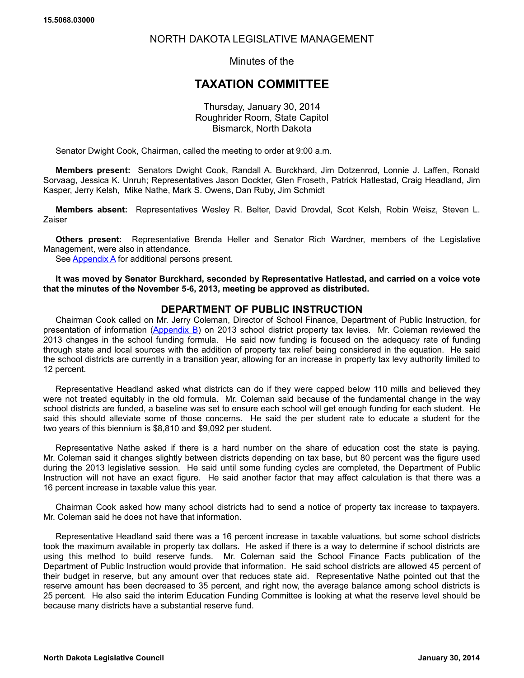# NORTH DAKOTA LEGISLATIVE MANAGEMENT

Minutes of the

# **TAXATION COMMITTEE**

Thursday, January 30, 2014 Roughrider Room, State Capitol Bismarck, North Dakota

Senator Dwight Cook, Chairman, called the meeting to order at 9:00 a.m.

**Members present:** Senators Dwight Cook, Randall A. Burckhard, Jim Dotzenrod, Lonnie J. Laffen, Ronald Sorvaag, Jessica K. Unruh; Representatives Jason Dockter, Glen Froseth, Patrick Hatlestad, Craig Headland, Jim Kasper, Jerry Kelsh, Mike Nathe, Mark S. Owens, Dan Ruby, Jim Schmidt

**Members absent:** Representatives Wesley R. Belter, David Drovdal, Scot Kelsh, Robin Weisz, Steven L. Zaiser

**Others present:** Representative Brenda Heller and Senator Rich Wardner, members of the Legislative Management, were also in attendance.

See **Appendix A** for additional persons present.

**It was moved by Senator Burckhard, seconded by Representative Hatlestad, and carried on a voice vote that the minutes of the November 5-6, 2013, meeting be approved as distributed.**

# **DEPARTMENT OF PUBLIC INSTRUCTION**

Chairman Cook called on Mr. Jerry Coleman, Director of School Finance, Department of Public Instruction, for presentation of information [\(Appendix B\)](https://ndlegis.gov/files/committees/63-2013nma/appendices/15_5068_03000appendixb.pdf) on 2013 school district property tax levies. Mr. Coleman reviewed the 2013 changes in the school funding formula. He said now funding is focused on the adequacy rate of funding through state and local sources with the addition of property tax relief being considered in the equation. He said the school districts are currently in a transition year, allowing for an increase in property tax levy authority limited to 12 percent.

Representative Headland asked what districts can do if they were capped below 110 mills and believed they were not treated equitably in the old formula. Mr. Coleman said because of the fundamental change in the way school districts are funded, a baseline was set to ensure each school will get enough funding for each student. He said this should alleviate some of those concerns. He said the per student rate to educate a student for the two years of this biennium is \$8,810 and \$9,092 per student.

Representative Nathe asked if there is a hard number on the share of education cost the state is paying. Mr. Coleman said it changes slightly between districts depending on tax base, but 80 percent was the figure used during the 2013 legislative session. He said until some funding cycles are completed, the Department of Public Instruction will not have an exact figure. He said another factor that may affect calculation is that there was a 16 percent increase in taxable value this year.

Chairman Cook asked how many school districts had to send a notice of property tax increase to taxpayers. Mr. Coleman said he does not have that information.

Representative Headland said there was a 16 percent increase in taxable valuations, but some school districts took the maximum available in property tax dollars. He asked if there is a way to determine if school districts are using this method to build reserve funds. Mr. Coleman said the School Finance Facts publication of the Department of Public Instruction would provide that information. He said school districts are allowed 45 percent of their budget in reserve, but any amount over that reduces state aid. Representative Nathe pointed out that the reserve amount has been decreased to 35 percent, and right now, the average balance among school districts is 25 percent. He also said the interim Education Funding Committee is looking at what the reserve level should be because many districts have a substantial reserve fund.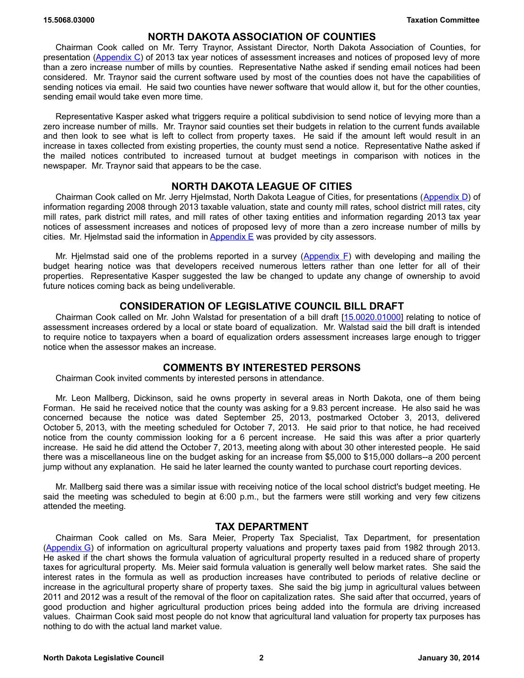### **NORTH DAKOTA ASSOCIATION OF COUNTIES**

Chairman Cook called on Mr. Terry Traynor, Assistant Director, North Dakota Association of Counties, for presentation [\(Appendix C\)](https://ndlegis.gov/files/committees/63-2013nma/appendices/15_5068_03000appendixc.pdf) of 2013 tax year notices of assessment increases and notices of proposed levy of more than a zero increase number of mills by counties. Representative Nathe asked if sending email notices had been considered. Mr. Traynor said the current software used by most of the counties does not have the capabilities of sending notices via email. He said two counties have newer software that would allow it, but for the other counties, sending email would take even more time.

Representative Kasper asked what triggers require a political subdivision to send notice of levying more than a zero increase number of mills. Mr. Traynor said counties set their budgets in relation to the current funds available and then look to see what is left to collect from property taxes. He said if the amount left would result in an increase in taxes collected from existing properties, the county must send a notice. Representative Nathe asked if the mailed notices contributed to increased turnout at budget meetings in comparison with notices in the newspaper. Mr. Traynor said that appears to be the case.

# **NORTH DAKOTA LEAGUE OF CITIES**

Chairman Cook called on Mr. Jerry Hjelmstad, North Dakota League of Cities, for presentations [\(Appendix D\)](https://ndlegis.gov/files/committees/63-2013nma/appendices/15_5068_03000appendixd.pdf) of information regarding 2008 through 2013 taxable valuation, state and county mill rates, school district mill rates, city mill rates, park district mill rates, and mill rates of other taxing entities and information regarding 2013 tax year notices of assessment increases and notices of proposed levy of more than a zero increase number of mills by cities. Mr. Hjelmstad said the information in Appendix  $E$  was provided by city assessors.

Mr. Hjelmstad said one of the problems reported in a survey (Appendix  $F$ ) with developing and mailing the budget hearing notice was that developers received numerous letters rather than one letter for all of their properties. Representative Kasper suggested the law be changed to update any change of ownership to avoid future notices coming back as being undeliverable.

### **CONSIDERATION OF LEGISLATIVE COUNCIL BILL DRAFT**

Chairman Cook called on Mr. John Walstad for presentation of a [bill draft \[15.0020.01000\] re](https://ndlegis.gov/assembly/63-2013/interim/15-0020-01000.pdf)lating to notice of assessment increases ordered by a local or state board of equalization. Mr. Walstad said the bill draft is intended to require notice to taxpayers when a board of equalization orders assessment increases large enough to trigger notice when the assessor makes an increase.

### **COMMENTS BY INTERESTED PERSONS**

Chairman Cook invited comments by interested persons in attendance.

Mr. Leon Mallberg, Dickinson, said he owns property in several areas in North Dakota, one of them being Forman. He said he received notice that the county was asking for a 9.83 percent increase. He also said he was concerned because the notice was dated September 25, 2013, postmarked October 3, 2013, delivered October 5, 2013, with the meeting scheduled for October 7, 2013. He said prior to that notice, he had received notice from the county commission looking for a 6 percent increase. He said this was after a prior quarterly increase. He said he did attend the October 7, 2013, meeting along with about 30 other interested people. He said there was a miscellaneous line on the budget asking for an increase from \$5,000 to \$15,000 dollars--a 200 percent jump without any explanation. He said he later learned the county wanted to purchase court reporting devices.

Mr. Mallberg said there was a similar issue with receiving notice of the local school district's budget meeting. He said the meeting was scheduled to begin at 6:00 p.m., but the farmers were still working and very few citizens attended the meeting.

### **TAX DEPARTMENT**

Chairman Cook called on Ms. Sara Meier, Property Tax Specialist, Tax Department, for presentation (Appendix G) of information on agricultural property valuations and property taxes paid from 1982 through 2013. He asked if the chart shows the formula valuation of agricultural property resulted in a reduced share of property taxes for agricultural property. Ms. Meier said formula valuation is generally well below market rates. She said the interest rates in the formula as well as production increases have contributed to periods of relative decline or increase in the agricultural property share of property taxes. She said the big jump in agricultural values between 2011 and 2012 was a result of the removal of the floor on capitalization rates. She said after that occurred, years of good production and higher agricultural production prices being added into the formula are driving increased values. Chairman Cook said most people do not know that agricultural land valuation for property tax purposes has nothing to do with the actual land market value.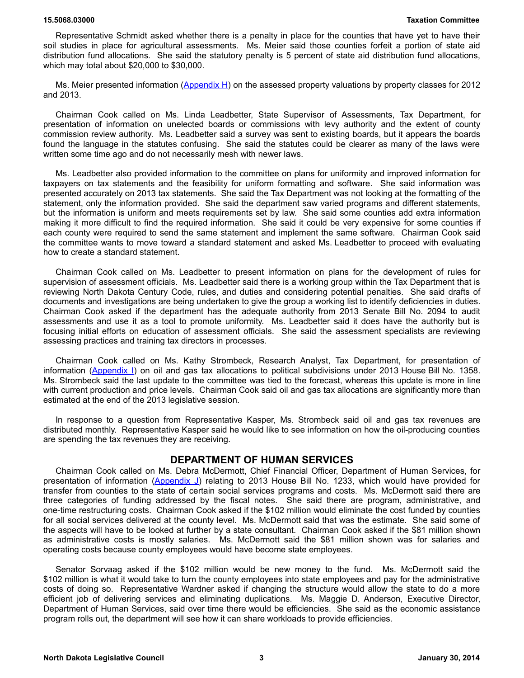Representative Schmidt asked whether there is a penalty in place for the counties that have yet to have their soil studies in place for agricultural assessments. Ms. Meier said those counties forfeit a portion of state aid distribution fund allocations. She said the statutory penalty is 5 percent of state aid distribution fund allocations, which may total about \$20,000 to \$30,000.

Ms. Meier presented information [\(Appendix H\)](https://ndlegis.gov/files/committees/63-2013nma/appendices/15_5068_03000appendixh.pdf) on the assessed property valuations by property classes for 2012 and 2013.

Chairman Cook called on Ms. Linda Leadbetter, State Supervisor of Assessments, Tax Department, for presentation of information on unelected boards or commissions with levy authority and the extent of county commission review authority. Ms. Leadbetter said a survey was sent to existing boards, but it appears the boards found the language in the statutes confusing. She said the statutes could be clearer as many of the laws were written some time ago and do not necessarily mesh with newer laws.

Ms. Leadbetter also provided information to the committee on plans for uniformity and improved information for taxpayers on tax statements and the feasibility for uniform formatting and software. She said information was presented accurately on 2013 tax statements. She said the Tax Department was not looking at the formatting of the statement, only the information provided. She said the department saw varied programs and different statements, but the information is uniform and meets requirements set by law. She said some counties add extra information making it more difficult to find the required information. She said it could be very expensive for some counties if each county were required to send the same statement and implement the same software. Chairman Cook said the committee wants to move toward a standard statement and asked Ms. Leadbetter to proceed with evaluating how to create a standard statement.

Chairman Cook called on Ms. Leadbetter to present information on plans for the development of rules for supervision of assessment officials. Ms. Leadbetter said there is a working group within the Tax Department that is reviewing North Dakota Century Code, rules, and duties and considering potential penalties. She said drafts of documents and investigations are being undertaken to give the group a working list to identify deficiencies in duties. Chairman Cook asked if the department has the adequate authority from 2013 Senate Bill No. 2094 to audit assessments and use it as a tool to promote uniformity. Ms. Leadbetter said it does have the authority but is focusing initial efforts on education of assessment officials. She said the assessment specialists are reviewing assessing practices and training tax directors in processes.

Chairman Cook called on Ms. Kathy Strombeck, Research Analyst, Tax Department, for presentation of information [\(Appendix I\)](https://ndlegis.gov/files/committees/63-2013nma/appendices/15_5068_03000appendixi.pdf) on oil and gas tax allocations to political subdivisions under 2013 House Bill No. 1358. Ms. Strombeck said the last update to the committee was tied to the forecast, whereas this update is more in line with current production and price levels. Chairman Cook said oil and gas tax allocations are significantly more than estimated at the end of the 2013 legislative session.

In response to a question from Representative Kasper, Ms. Strombeck said oil and gas tax revenues are distributed monthly. Representative Kasper said he would like to see information on how the oil-producing counties are spending the tax revenues they are receiving.

### **DEPARTMENT OF HUMAN SERVICES**

Chairman Cook called on Ms. Debra McDermott, Chief Financial Officer, Department of Human Services, for presentation of information [\(Appendix J\)](https://ndlegis.gov/files/committees/63-2013nma/appendices/15_5068_03000appendixj.pdf) relating to 2013 House Bill No. 1233, which would have provided for transfer from counties to the state of certain social services programs and costs. Ms. McDermott said there are three categories of funding addressed by the fiscal notes. She said there are program, administrative, and one-time restructuring costs. Chairman Cook asked if the \$102 million would eliminate the cost funded by counties for all social services delivered at the county level. Ms. McDermott said that was the estimate. She said some of the aspects will have to be looked at further by a state consultant. Chairman Cook asked if the \$81 million shown as administrative costs is mostly salaries. Ms. McDermott said the \$81 million shown was for salaries and operating costs because county employees would have become state employees.

Senator Sorvaag asked if the \$102 million would be new money to the fund. Ms. McDermott said the \$102 million is what it would take to turn the county employees into state employees and pay for the administrative costs of doing so. Representative Wardner asked if changing the structure would allow the state to do a more efficient job of delivering services and eliminating duplications. Ms. Maggie D. Anderson, Executive Director, Department of Human Services, said over time there would be efficiencies. She said as the economic assistance program rolls out, the department will see how it can share workloads to provide efficiencies.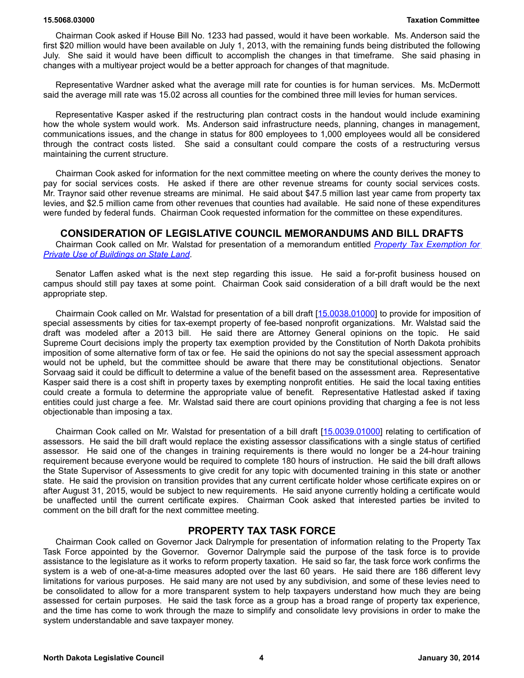Chairman Cook asked if House Bill No. 1233 had passed, would it have been workable. Ms. Anderson said the first \$20 million would have been available on July 1, 2013, with the remaining funds being distributed the following July. She said it would have been difficult to accomplish the changes in that timeframe. She said phasing in changes with a multiyear project would be a better approach for changes of that magnitude.

Representative Wardner asked what the average mill rate for counties is for human services. Ms. McDermott said the average mill rate was 15.02 across all counties for the combined three mill levies for human services.

Representative Kasper asked if the restructuring plan contract costs in the handout would include examining how the whole system would work. Ms. Anderson said infrastructure needs, planning, changes in management, communications issues, and the change in status for 800 employees to 1,000 employees would all be considered through the contract costs listed. She said a consultant could compare the costs of a restructuring versus maintaining the current structure.

Chairman Cook asked for information for the next committee meeting on where the county derives the money to pay for social services costs. He asked if there are other revenue streams for county social services costs. Mr. Traynor said other revenue streams are minimal. He said about \$47.5 million last year came from property tax levies, and \$2.5 million came from other revenues that counties had available. He said none of these expenditures were funded by federal funds. Chairman Cook requested information for the committee on these expenditures.

### **CONSIDERATION OF LEGISLATIVE COUNCIL MEMORANDUMS AND BILL DRAFTS**

Chairman Cook called on Mr. Walstad for presentation of a memorandum entitled *[Property Tax Exemption for](https://ndlegis.gov/files/resource/committee-memorandum/15.9185.01000.pdf) [Private Use of Buildings on State Land](https://ndlegis.gov/files/resource/committee-memorandum/15.9185.01000.pdf)*.

Senator Laffen asked what is the next step regarding this issue. He said a for-profit business housed on campus should still pay taxes at some point. Chairman Cook said consideration of a bill draft would be the next appropriate step.

Chairmain Cook called on Mr. Walstad for presentation of a [bill draft \[15.0038.01000\]](https://ndlegis.gov/files/committees/63-2013nma/appendices/15_0038_01000.pdf) to provide for imposition of special assessments by cities for tax-exempt property of fee-based nonprofit organizations. Mr. Walstad said the draft was modeled after a 2013 bill. He said there are Attorney General opinions on the topic. He said Supreme Court decisions imply the property tax exemption provided by the Constitution of North Dakota prohibits imposition of some alternative form of tax or fee. He said the opinions do not say the special assessment approach would not be upheld, but the committee should be aware that there may be constitutional objections. Senator Sorvaag said it could be difficult to determine a value of the benefit based on the assessment area. Representative Kasper said there is a cost shift in property taxes by exempting nonprofit entities. He said the local taxing entities could create a formula to determine the appropriate value of benefit. Representative Hatlestad asked if taxing entities could just charge a fee. Mr. Walstad said there are court opinions providing that charging a fee is not less objectionable than imposing a tax.

Chairman Cook called on Mr. Walstad for presentation of a [bill draft](https://ndlegis.gov/files/committees/63-2013nma/appendices/15_0039_01000.pdf) [\[15.0039.01000\]](https://ndlegis.gov/assembly/63-2013/interim/15-0039-01000.pdf) relating to certification of assessors. He said the bill draft would replace the existing assessor classifications with a single status of certified assessor. He said one of the changes in training requirements is there would no longer be a 24-hour training requirement because everyone would be required to complete 180 hours of instruction. He said the bill draft allows the State Supervisor of Assessments to give credit for any topic with documented training in this state or another state. He said the provision on transition provides that any current certificate holder whose certificate expires on or after August 31, 2015, would be subject to new requirements. He said anyone currently holding a certificate would be unaffected until the current certificate expires. Chairman Cook asked that interested parties be invited to comment on the bill draft for the next committee meeting.

### **PROPERTY TAX TASK FORCE**

Chairman Cook called on Governor Jack Dalrymple for presentation of information relating to the Property Tax Task Force appointed by the Governor. Governor Dalrymple said the purpose of the task force is to provide assistance to the legislature as it works to reform property taxation. He said so far, the task force work confirms the system is a web of one-at-a-time measures adopted over the last 60 years. He said there are 186 different levy limitations for various purposes. He said many are not used by any subdivision, and some of these levies need to be consolidated to allow for a more transparent system to help taxpayers understand how much they are being assessed for certain purposes. He said the task force as a group has a broad range of property tax experience, and the time has come to work through the maze to simplify and consolidate levy provisions in order to make the system understandable and save taxpayer money.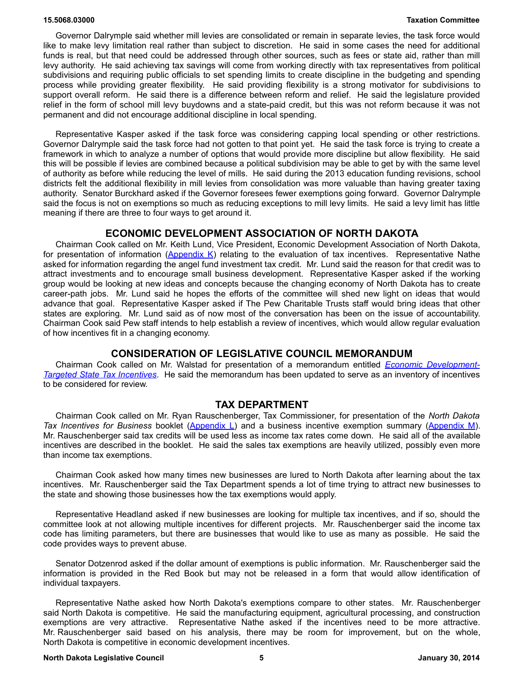Governor Dalrymple said whether mill levies are consolidated or remain in separate levies, the task force would like to make levy limitation real rather than subject to discretion. He said in some cases the need for additional funds is real, but that need could be addressed through other sources, such as fees or state aid, rather than mill levy authority. He said achieving tax savings will come from working directly with tax representatives from political subdivisions and requiring public officials to set spending limits to create discipline in the budgeting and spending process while providing greater flexibility. He said providing flexibility is a strong motivator for subdivisions to support overall reform. He said there is a difference between reform and relief. He said the legislature provided relief in the form of school mill levy buydowns and a state-paid credit, but this was not reform because it was not permanent and did not encourage additional discipline in local spending.

Representative Kasper asked if the task force was considering capping local spending or other restrictions. Governor Dalrymple said the task force had not gotten to that point yet. He said the task force is trying to create a framework in which to analyze a number of options that would provide more discipline but allow flexibility. He said this will be possible if levies are combined because a political subdivision may be able to get by with the same level of authority as before while reducing the level of mills. He said during the 2013 education funding revisions, school districts felt the additional flexibility in mill levies from consolidation was more valuable than having greater taxing authority. Senator Burckhard asked if the Governor foresees fewer exemptions going forward. Governor Dalrymple said the focus is not on exemptions so much as reducing exceptions to mill levy limits. He said a levy limit has little meaning if there are three to four ways to get around it.

### **ECONOMIC DEVELOPMENT ASSOCIATION OF NORTH DAKOTA**

Chairman Cook called on Mr. Keith Lund, Vice President, Economic Development Association of North Dakota, for presentation of information ( $\Delta$ ppendix K) relating to the evaluation of tax incentives. Representative Nathe asked for information regarding the angel fund investment tax credit. Mr. Lund said the reason for that credit was to attract investments and to encourage small business development. Representative Kasper asked if the working group would be looking at new ideas and concepts because the changing economy of North Dakota has to create career-path jobs. Mr. Lund said he hopes the efforts of the committee will shed new light on ideas that would advance that goal. Representative Kasper asked if The Pew Charitable Trusts staff would bring ideas that other states are exploring. Mr. Lund said as of now most of the conversation has been on the issue of accountability. Chairman Cook said Pew staff intends to help establish a review of incentives, which would allow regular evaluation of how incentives fit in a changing economy.

### **CONSIDERATION OF LEGISLATIVE COUNCIL MEMORANDUM**

Chairman Cook called on Mr. Walstad for presentation of a memorandum entitled *[Economic Development-](https://ndlegis.gov/files/resource/committee-memorandum/15.9145.03000.pdf)[Targeted State Tax Incentives](https://ndlegis.gov/files/resource/committee-memorandum/15.9145.03000.pdf)*. He said the memorandum has been updated to serve as an inventory of incentives to be considered for review.

### **TAX DEPARTMENT**

Chairman Cook called on Mr. Ryan Rauschenberger, Tax Commissioner, for presentation of the *North Dakota Tax Incentives for Business booklet [\(Appendix L\)](https://ndlegis.gov/files/committees/63-2013nma/appendices/15_5068_03000appendixl.pdf)* and a business incentive exemption summary [\(Appendix M\)](https://ndlegis.gov/files/committees/63-2013nma/appendices/15_5068_03000appendixm.pdf). Mr. Rauschenberger said tax credits will be used less as income tax rates come down. He said all of the available incentives are described in the booklet. He said the sales tax exemptions are heavily utilized, possibly even more than income tax exemptions.

Chairman Cook asked how many times new businesses are lured to North Dakota after learning about the tax incentives. Mr. Rauschenberger said the Tax Department spends a lot of time trying to attract new businesses to the state and showing those businesses how the tax exemptions would apply.

Representative Headland asked if new businesses are looking for multiple tax incentives, and if so, should the committee look at not allowing multiple incentives for different projects. Mr. Rauschenberger said the income tax code has limiting parameters, but there are businesses that would like to use as many as possible. He said the code provides ways to prevent abuse.

Senator Dotzenrod asked if the dollar amount of exemptions is public information. Mr. Rauschenberger said the information is provided in the Red Book but may not be released in a form that would allow identification of individual taxpayers.

Representative Nathe asked how North Dakota's exemptions compare to other states. Mr. Rauschenberger said North Dakota is competitive. He said the manufacturing equipment, agricultural processing, and construction exemptions are very attractive. Representative Nathe asked if the incentives need to be more attractive. Mr. Rauschenberger said based on his analysis, there may be room for improvement, but on the whole, North Dakota is competitive in economic development incentives.

### **North Dakota Legislative Council 5 January 30, 2014**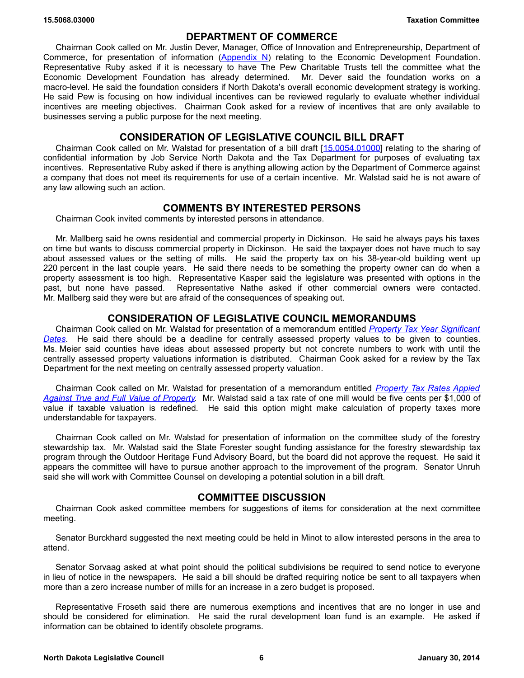### **DEPARTMENT OF COMMERCE**

Chairman Cook called on Mr. Justin Dever, Manager, Office of Innovation and Entrepreneurship, Department of Commerce, for presentation of information [\(Appendix N\)](https://ndlegis.gov/files/committees/63-2013nma/appendices/15_5068_03000appendixn.pdf) relating to the Economic Development Foundation. Representative Ruby asked if it is necessary to have The Pew Charitable Trusts tell the committee what the Economic Development Foundation has already determined. Mr. Dever said the foundation works on a macro-level. He said the foundation considers if North Dakota's overall economic development strategy is working. He said Pew is focusing on how individual incentives can be reviewed regularly to evaluate whether individual incentives are meeting objectives. Chairman Cook asked for a review of incentives that are only available to businesses serving a public purpose for the next meeting.

### **CONSIDERATION OF LEGISLATIVE COUNCIL BILL DRAFT**

Chairman Cook called on Mr. Walstad for presentation of a [bill draft \[15.0054.01000\]](https://ndlegis.gov/assembly/63-2013/interim/15-0054-01000.pdf) relating to the sharing of confidential information by Job Service North Dakota and the Tax Department for purposes of evaluating tax incentives. Representative Ruby asked if there is anything allowing action by the Department of Commerce against a company that does not meet its requirements for use of a certain incentive. Mr. Walstad said he is not aware of any law allowing such an action.

# **COMMENTS BY INTERESTED PERSONS**

Chairman Cook invited comments by interested persons in attendance.

Mr. Mallberg said he owns residential and commercial property in Dickinson. He said he always pays his taxes on time but wants to discuss commercial property in Dickinson. He said the taxpayer does not have much to say about assessed values or the setting of mills. He said the property tax on his 38-year-old building went up 220 percent in the last couple years. He said there needs to be something the property owner can do when a property assessment is too high. Representative Kasper said the legislature was presented with options in the past, but none have passed. Representative Nathe asked if other commercial owners were contacted. Mr. Mallberg said they were but are afraid of the consequences of speaking out.

# **CONSIDERATION OF LEGISLATIVE COUNCIL MEMORANDUMS**

Chairman Cook called on Mr. Walstad for presentation of a memorandum entitled *[Property Tax Year Significant](https://ndlegis.gov/files/resource/committee-memorandum/15.9053.03000.pdf) [Dates](https://ndlegis.gov/files/resource/committee-memorandum/15.9053.03000.pdf)*. He said there should be a deadline for centrally assessed property values to be given to counties. Ms. Meier said counties have ideas about assessed property but not concrete numbers to work with until the centrally assessed property valuations information is distributed. Chairman Cook asked for a review by the Tax Department for the next meeting on centrally assessed property valuation.

Chairman Cook called on Mr. Walstad for presentation of a memorandum entitled *[Property Tax Rates Appied](https://ndlegis.gov/files/resource/committee-memorandum/15.9026.02000.pdf) [Against True and Full Value of Property.](https://ndlegis.gov/files/resource/committee-memorandum/15.9026.02000.pdf)* Mr. Walstad said a tax rate of one mill would be five cents per \$1,000 of value if taxable valuation is redefined. He said this option might make calculation of property taxes more understandable for taxpayers.

Chairman Cook called on Mr. Walstad for presentation of information on the committee study of the forestry stewardship tax. Mr. Walstad said the State Forester sought funding assistance for the forestry stewardship tax program through the Outdoor Heritage Fund Advisory Board, but the board did not approve the request. He said it appears the committee will have to pursue another approach to the improvement of the program. Senator Unruh said she will work with Committee Counsel on developing a potential solution in a bill draft.

### **COMMITTEE DISCUSSION**

Chairman Cook asked committee members for suggestions of items for consideration at the next committee meeting.

Senator Burckhard suggested the next meeting could be held in Minot to allow interested persons in the area to attend.

Senator Sorvaag asked at what point should the political subdivisions be required to send notice to everyone in lieu of notice in the newspapers. He said a bill should be drafted requiring notice be sent to all taxpayers when more than a zero increase number of mills for an increase in a zero budget is proposed.

Representative Froseth said there are numerous exemptions and incentives that are no longer in use and should be considered for elimination. He said the rural development loan fund is an example. He asked if information can be obtained to identify obsolete programs.